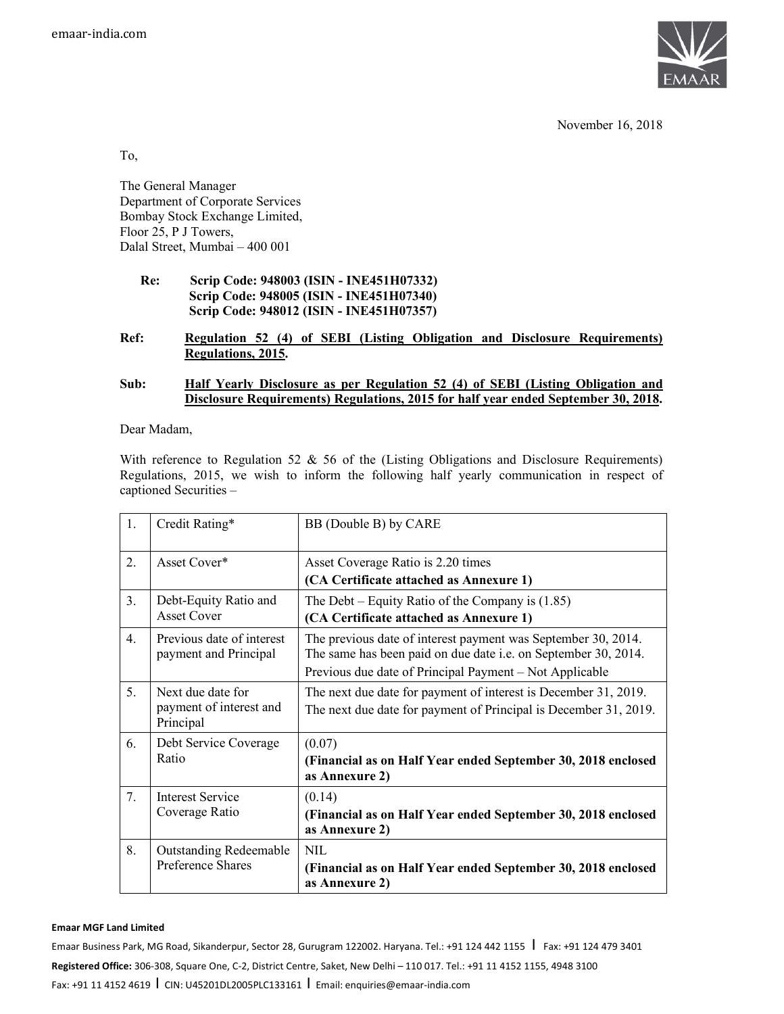

November 16, 2018

To,

The General Manager Department of Corporate Services Bombay Stock Exchange Limited, Floor 25, P J Towers, Dalal Street, Mumbai – 400 001

> **Re: Scrip Code: 948003 (ISIN - INE451H07332) Scrip Code: 948005 (ISIN - INE451H07340) Scrip Code: 948012 (ISIN - INE451H07357)**

## **Ref: Regulation 52 (4) of SEBI (Listing Obligation and Disclosure Requirements) Regulations, 2015.**

## **Sub: Half Yearly Disclosure as per Regulation 52 (4) of SEBI (Listing Obligation and Disclosure Requirements) Regulations, 2015 for half year ended September 30, 2018.**

Dear Madam,

With reference to Regulation 52  $\&$  56 of the (Listing Obligations and Disclosure Requirements) Regulations, 2015, we wish to inform the following half yearly communication in respect of captioned Securities –

| 1.          | Credit Rating*                                            | BB (Double B) by CARE                                                                                                                                                                      |
|-------------|-----------------------------------------------------------|--------------------------------------------------------------------------------------------------------------------------------------------------------------------------------------------|
| 2.          | Asset Cover*                                              | Asset Coverage Ratio is 2.20 times<br>(CA Certificate attached as Annexure 1)                                                                                                              |
| 3.          | Debt-Equity Ratio and<br><b>Asset Cover</b>               | The Debt – Equity Ratio of the Company is $(1.85)$<br>(CA Certificate attached as Annexure 1)                                                                                              |
| $4_{\cdot}$ | Previous date of interest<br>payment and Principal        | The previous date of interest payment was September 30, 2014.<br>The same has been paid on due date i.e. on September 30, 2014.<br>Previous due date of Principal Payment – Not Applicable |
| 5.          | Next due date for<br>payment of interest and<br>Principal | The next due date for payment of interest is December 31, 2019.<br>The next due date for payment of Principal is December 31, 2019.                                                        |
| 6.          | Debt Service Coverage<br>Ratio                            | (0.07)<br>(Financial as on Half Year ended September 30, 2018 enclosed<br>as Annexure 2)                                                                                                   |
| 7.          | <b>Interest Service</b><br>Coverage Ratio                 | (0.14)<br>(Financial as on Half Year ended September 30, 2018 enclosed<br>as Annexure 2)                                                                                                   |
| 8.          | <b>Outstanding Redeemable</b><br><b>Preference Shares</b> | NIL<br>(Financial as on Half Year ended September 30, 2018 enclosed<br>as Annexure 2)                                                                                                      |

#### **Emaar MGF Land Limited**

Emaar Business Park, MG Road, Sikanderpur, Sector 28, Gurugram 122002. Haryana. Tel.: +91 124 442 1155 | Fax: +91 124 479 3401 **Registered Office:** 306-308, Square One, C-2, District Centre, Saket, New Delhi – 110 017. Tel.: +91 11 4152 1155, 4948 3100 Fax: +91 11 4152 4619 I CIN: U45201DL2005PLC133161 I Email: enquiries@emaar-india.com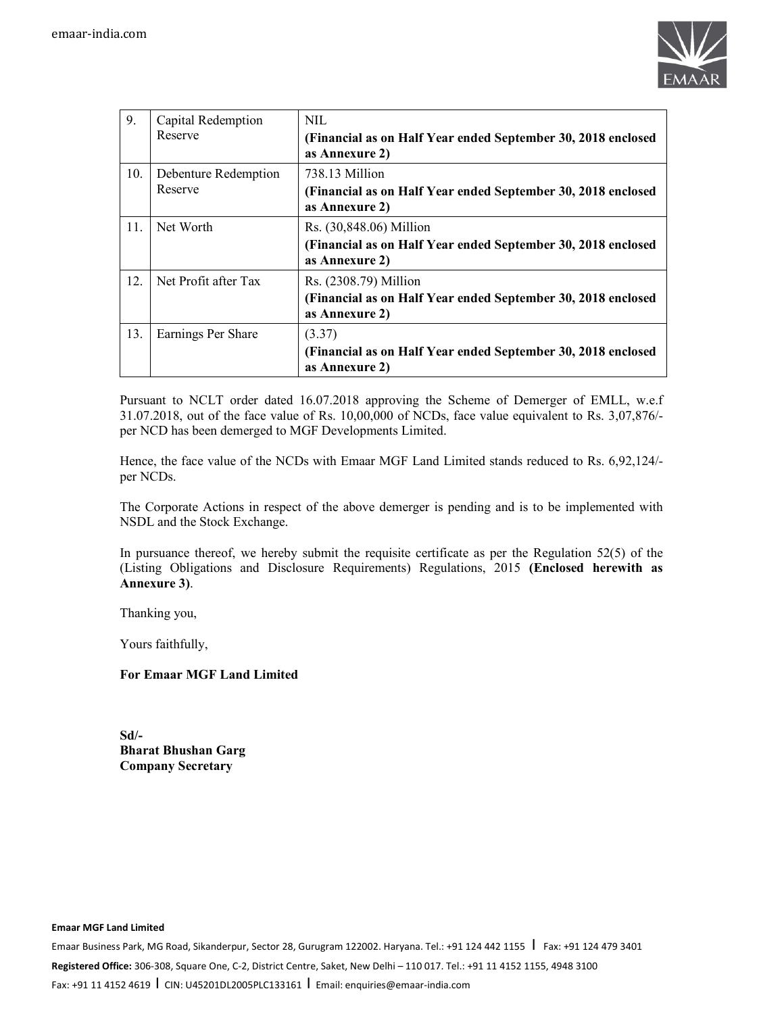

| 9.  | Capital Redemption<br>Reserve   | NIL<br>(Financial as on Half Year ended September 30, 2018 enclosed<br>as Annexure 2)                     |
|-----|---------------------------------|-----------------------------------------------------------------------------------------------------------|
| 10. | Debenture Redemption<br>Reserve | 738.13 Million<br>(Financial as on Half Year ended September 30, 2018 enclosed<br>as Annexure 2)          |
| 11. | Net Worth                       | Rs. (30,848.06) Million<br>(Financial as on Half Year ended September 30, 2018 enclosed<br>as Annexure 2) |
| 12. | Net Profit after Tax            | Rs. (2308.79) Million<br>(Financial as on Half Year ended September 30, 2018 enclosed<br>as Annexure 2)   |
| 13. | Earnings Per Share              | (3.37)<br>(Financial as on Half Year ended September 30, 2018 enclosed<br>as Annexure 2)                  |

Pursuant to NCLT order dated 16.07.2018 approving the Scheme of Demerger of EMLL, w.e.f 31.07.2018, out of the face value of Rs. 10,00,000 of NCDs, face value equivalent to Rs. 3,07,876/ per NCD has been demerged to MGF Developments Limited.

Hence, the face value of the NCDs with Emaar MGF Land Limited stands reduced to Rs. 6,92,124/ per NCDs.

The Corporate Actions in respect of the above demerger is pending and is to be implemented with NSDL and the Stock Exchange.

In pursuance thereof, we hereby submit the requisite certificate as per the Regulation 52(5) of the (Listing Obligations and Disclosure Requirements) Regulations, 2015 **(Enclosed herewith as Annexure 3)**.

Thanking you,

Yours faithfully,

## **For Emaar MGF Land Limited**

**Sd/- Bharat Bhushan Garg Company Secretary** 

**Emaar MGF Land Limited** 

Emaar Business Park, MG Road, Sikanderpur, Sector 28, Gurugram 122002. Haryana. Tel.: +91 124 442 1155 | Fax: +91 124 479 3401 **Registered Office:** 306-308, Square One, C-2, District Centre, Saket, New Delhi – 110 017. Tel.: +91 11 4152 1155, 4948 3100 Fax: +91 11 4152 4619 I CIN: U45201DL2005PLC133161 I Email: enquiries@emaar-india.com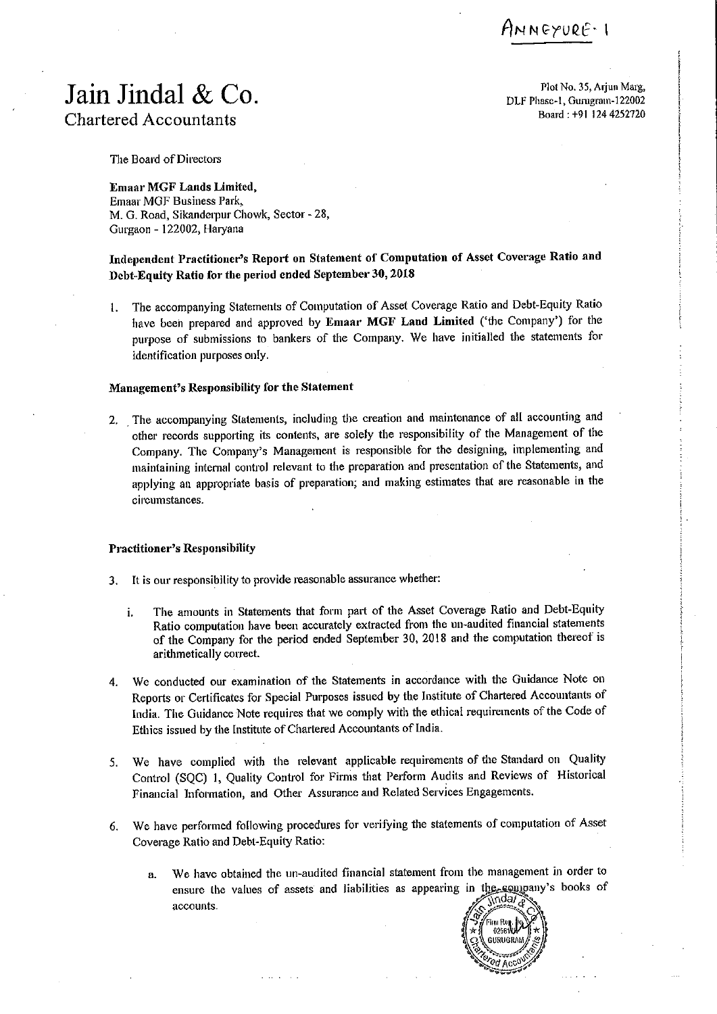INNEYURE: 1

# Jain Jindal & Co. **Chartered Accountants**

Plot No. 35, Arjun Marg, DLF Phase-1, Gurugram-122002 Board: +91 124 4252720

The Board of Directors

**Emaar MGF Lands Limited.** Emaar MGF Business Park, M. G. Road, Sikanderpur Chowk, Sector - 28, Gurgaon - 122002, Haryana

# Independent Practitioner's Report on Statement of Computation of Asset Coverage Ratio and Debt-Equity Ratio for the period ended September 30, 2018

The accompanying Statements of Computation of Asset Coverage Ratio and Debt-Equity Ratio 1. have been prepared and approved by Emaar MGF Land Limited ('the Company') for the purpose of submissions to bankers of the Company. We have initialled the statements for identification purposes only.

### Management's Responsibility for the Statement

2. The accompanying Statements, including the creation and maintenance of all accounting and other records supporting its contents, are solely the responsibility of the Management of the Company. The Company's Management is responsible for the designing, implementing and maintaining internal control relevant to the preparation and presentation of the Statements, and applying an appropriate basis of preparation; and making estimates that are reasonable in the circumstances.

#### **Practitioner's Responsibility**

- 3. It is our responsibility to provide reasonable assurance whether:
	- The amounts in Statements that form part of the Asset Coverage Ratio and Debt-Equity i. Ratio computation have been accurately extracted from the un-audited financial statements of the Company for the period ended September 30, 2018 and the computation thereof is arithmetically correct.
- 4. We conducted our examination of the Statements in accordance with the Guidance Note on Reports or Certificates for Special Purposes issued by the Institute of Chartered Accountants of India. The Guidance Note requires that we comply with the ethical requirements of the Code of Ethics issued by the Institute of Chartered Accountants of India.
- We have complied with the relevant applicable requirements of the Standard on Quality  $5.$ Control (SQC) 1, Quality Control for Firms that Perform Audits and Reviews of Historical Financial Information, and Other Assurance and Related Services Engagements.
- We have performed following procedures for verifying the statements of computation of Asset 6. Coverage Ratio and Debt-Equity Ratio:
	- We have obtained the un-audited financial statement from the management in order to  $\mathbf{a}$ . ensure the values of assets and liabilities as appearing in the soundary's books of accounts.

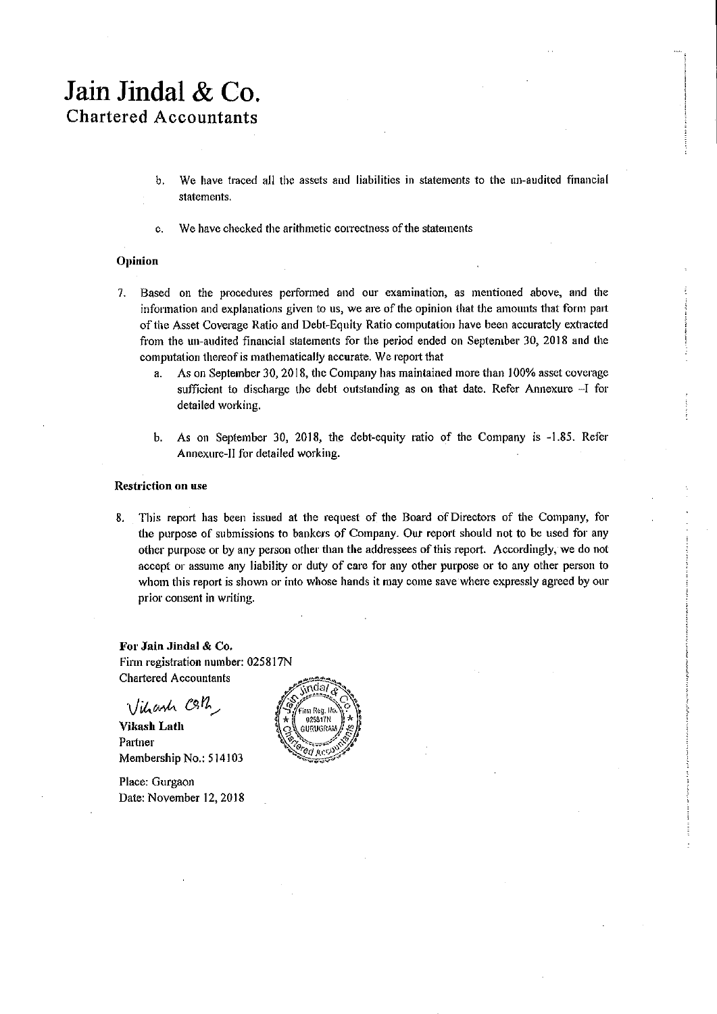# Jain Jindal & Co. **Chartered Accountants**

- $\mathbf b$ . We have traced all the assets and liabilities in statements to the un-audited financial statements.
- We have checked the arithmetic correctness of the statements c.

# Opinion

- 7. Based on the procedures performed and our examination, as mentioned above, and the information and explanations given to us, we are of the opinion that the amounts that form part of the Asset Coverage Ratio and Debt-Equity Ratio computation have been accurately extracted from the un-audited financial statements for the period ended on September 30, 2018 and the computation thereof is mathematically accurate. We report that
	- As on September 30, 2018, the Company has maintained more than 100% asset coverage a. sufficient to discharge the debt outstanding as on that date. Refer Annexure -- I for detailed working.
	- b. As on September 30, 2018, the debt-equity ratio of the Company is -1.85. Refer Annexure-II for detailed working.

#### **Restriction on use**

This report has been issued at the request of the Board of Directors of the Company, for 8. the purpose of submissions to bankers of Company. Our report should not to be used for any other purpose or by any person other than the addressees of this report. Accordingly, we do not accept or assume any liability or duty of care for any other purpose or to any other person to whom this report is shown or into whose hands it may come save where expressly agreed by our prior consent in writing.

For Jain Jindal & Co. Firm registration number: 025817N **Chartered Accountants** 

Vihanh Coth,

**Vikash Lath** Partner Membership No.: 514103

Place: Gurgaon Date: November 12, 2018

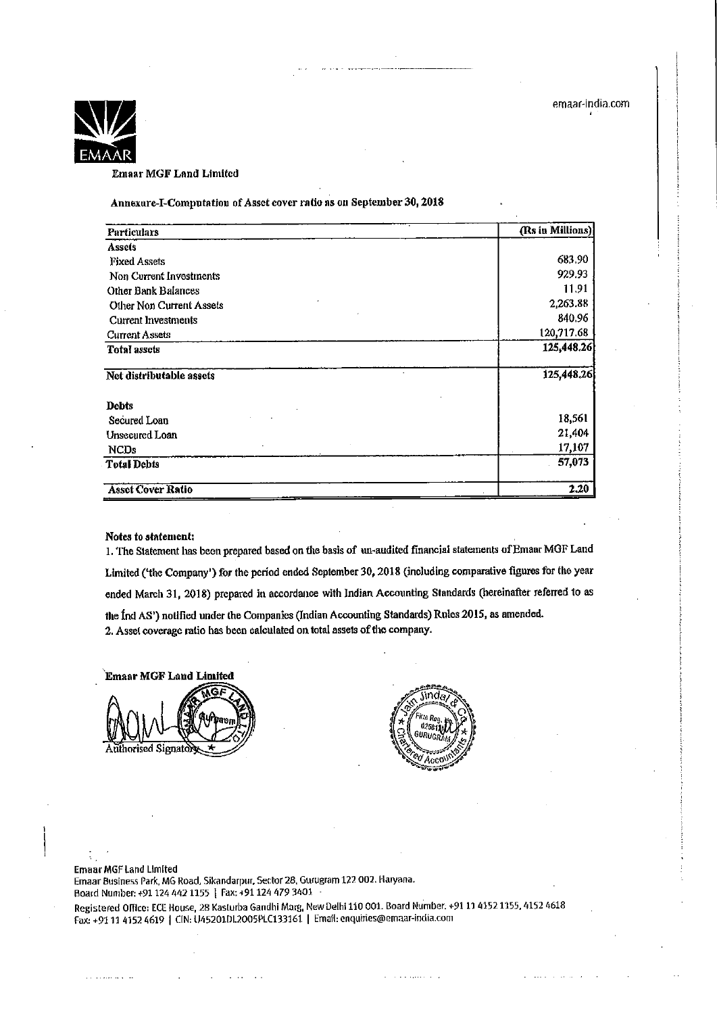

**Emaar MGF Land Limited** 

Annexure-I-Computation of Asset cover ratio as on September 30, 2018

| Particulars                     | (Rs in Millions) |
|---------------------------------|------------------|
| <b>Assets</b>                   |                  |
| <b>Fixed Assets</b>             | 683.90           |
| Non Current Investments         | 929.93           |
| Other Bank Balances             | 11.91            |
| <b>Other Non Current Assets</b> | 2,263.88         |
| <b>Current Investments</b>      | 840.96           |
| <b>Current Assets</b>           | 120,717.68       |
| <b>Total assets</b>             | 125,448.26       |
| Net distributable assets        | 125,448.26       |
| Debts                           |                  |
| Secured Loan                    | 18,561           |
| Unsecured Loan                  | 21,404           |
| <b>NCDs</b>                     | 17,107           |
| <b>Total Debts</b>              | 57,073           |
| <b>Asset Cover Ratio</b>        | 2.20             |

#### Notes to statement:

1. The Statement has been prepared based on the basis of un-audited financial statements of Emaar MGF Land Limited ('the Company') for the period ended September 30, 2018 (including comparative figures for the year ended March 31, 2018) prepared in accordance with Indian Accounting Standards (hereinafter referred to as the Ind AS') notified under the Companies (Indian Accounting Standards) Rules 2015, as amended. 2. Asset coverage ratio has been calculated on total assets of the company.

**Emaar MGF Land Limited** Authorised Signatory



#### **Emaar MGF Land Limited**

Emaar Business Park, MG Road, Sikandarpur, Sector 28, Gurugram 122 002. Haryana. Board Number: +91 124 442 1155 | Fax: +91 124 479 3401

Registered Office: ECE House, 28 Kasturba Gandhi Marg, New Delhi 110 001. Board Number: +91 11 4152 1155, 4152 4618 Fax: +91 11 4152 4619 | CIN: U45201DL2005PLC133161. | Email: enquiries@emaar-india.com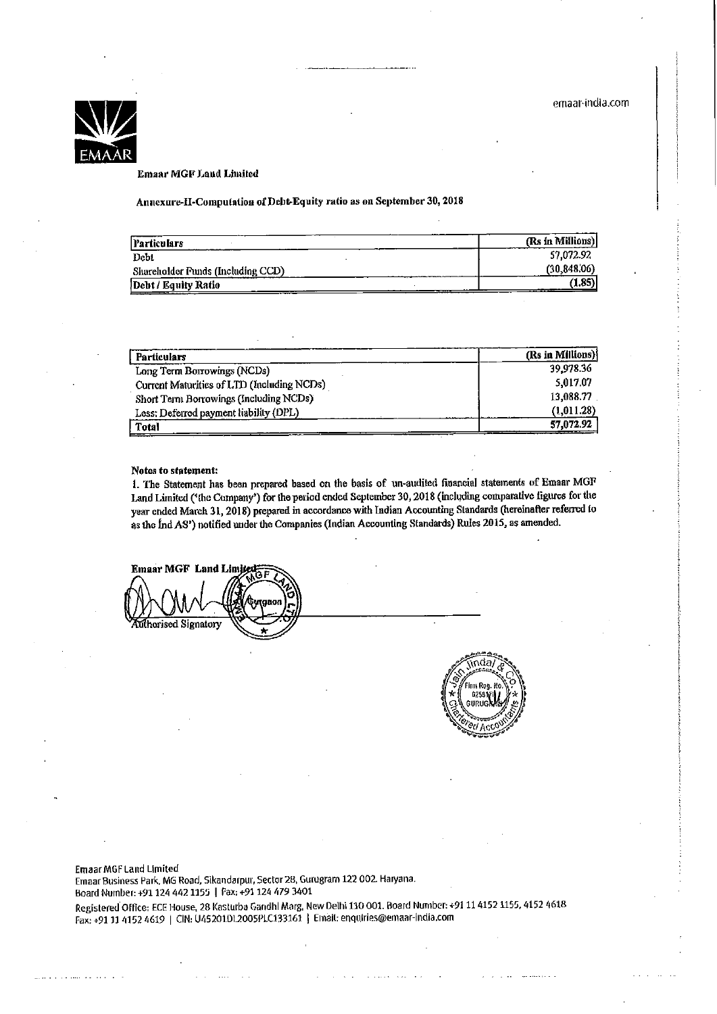

#### **Emaar MGF Land Limited**

Annexure-II-Computation of Debt-Equity ratio as on September 30, 2018

| Particulars                       | (Rs in Millions) |
|-----------------------------------|------------------|
| Debt                              | 57,072.92        |
| Shareholder Funds (Including CCD) | (30, 848, 06)    |
| Debt / Equity Ratio               | (1.85)           |

| <b>Particulars</b>                         | (Rs in Millions) |
|--------------------------------------------|------------------|
| Long Term Borrowings (NCDs)                | 39,978.36        |
| Current Maturities of LTD (Including NCDs) | 5,017.07         |
| Short Term Borrowings (Including NCDs)     | 13,088.77        |
| Less: Deferred payment liability (DPL)     | (1,011.28)       |
| <b>Total</b>                               | 57,072.92        |

#### Notes to statement:

1. The Statement has been prepared based on the basis of un-audited financial statements of Emaar MGF Land Limited ('the Company') for the period ended September 30, 2018 (including comparative figures for the year cnded March 31, 2018) prepared in accordance with Indian Accounting Standards (hereinafter referred to as the Ind AS') notified under the Companies (Indian Accounting Standards) Rules 2015, as amended.

**Emaar MGF Land Limited** tgaor uthorised Signatory



**Emaar MGF Land Limited** Emaar Business Park, MG Road, Sikandarpur, Sector 28, Gurugram 122 002. Haryana. Board Number: +91 124 442 1155 | Fax: +91 124 479 3401 Registered Office: ECE House, 28 Kasturba Gandhi Marg, New Delhi 110 001. Board Number: +91 11 4152 1155, 4152 4618 Fax: +91 11 4152 4619 | CIN: U45201DI.2005PLC133161 | Email: enquiries@emaar-india.com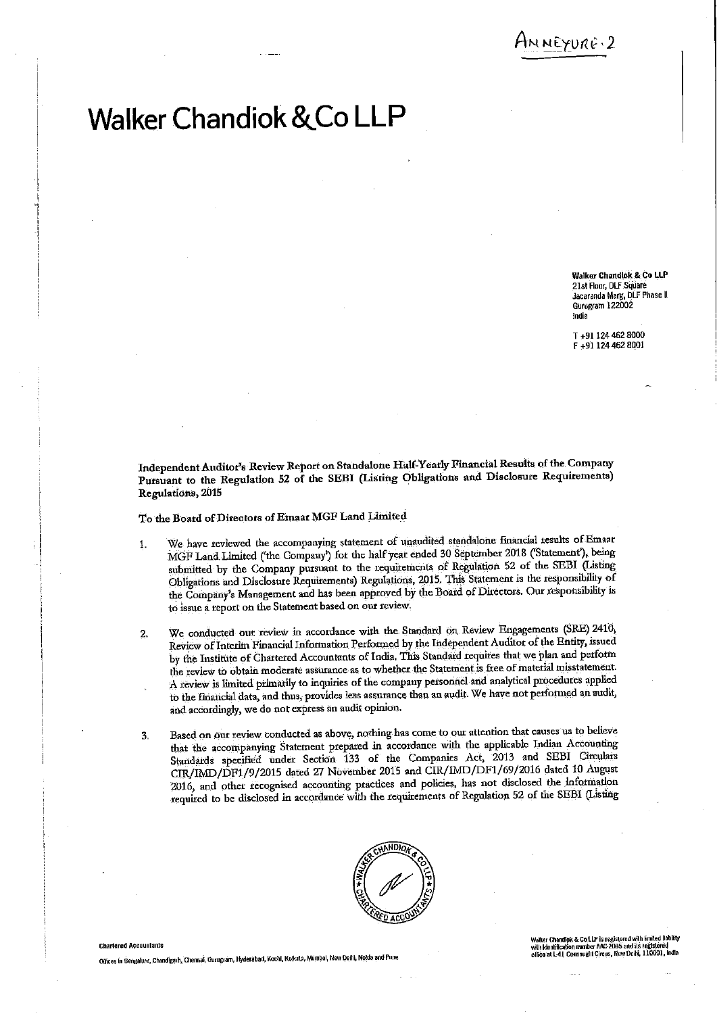ANNEYURE 2

# **Walker Chandiok & Co LLP**

Walker Chandlok & Co LLP 21st Floor, DLF Square Jacaranda Marg, DLF Phase II Gurugram 122002 India

T +91 124 462 8000 F +91 124 462 8001

Independent Auditor's Review Report on Standalone Half-Yearly Financial Results of the Company Pursuant to the Regulation 52 of the SEBI (Listing Obligations and Disclosure Requirements) Regulations, 2015

To the Board of Directors of Emaar MGF Land Limited

- We have reviewed the accompanying statement of unaudited standalone financial results of Emaar  $\mathbf{1}$ . MGF Land Limited ('the Company') for the half year ended 30 September 2018 ('Statement'), being submitted by the Company pursuant to the requirements of Regulation 52 of the SEBI (Listing Obligations and Disclosure Requirements) Regulations, 2015. This Statement is the responsibility of the Company's Management and has been approved by the Board of Directors. Our responsibility is to issue a report on the Statement based on our review.
- We conducted out review in accordance with the Standard on Review Engagements (SRE) 2410,  $2.$ Review of Interim Financial Information Performed by the Independent Auditor of the Entity, issued by the Institute of Chartered Accountants of India. This Standard requires that we plan and perform the review to obtain moderate assurance as to whether the Statement is free of material misstatement. A review is limited primarily to inquiries of the company personnel and analytical procedures applied to the financial data, and thus, provides less assurance than an audit. We have not performed an audit, and accordingly, we do not express an audit opinion.
- Based on our review conducted as above, nothing has come to our attention that causes us to believe 3. that the accompanying Statement prepared in accordance with the applicable Indian Accounting Standards specified under Section 133 of the Companies Act, 2013 and SEBI Circulars CIR/IMD/DF1/9/2015 dated 27 November 2015 and CIR/IMD/DF1/69/2016 dated 10 August 2016, and other recognised accounting practices and policies, has not disclosed the information required to be disclosed in accordance with the requirements of Regulation 52 of the SEBI (Listing



#### **Chartered Accountants**

Olfices in Bengaluru, Chandigarh, Chennai, Gurugram, Hyderabad, Kochl, Kolkata, Mumbal, New Delhi, Nolda and Pun

Walker Chandiok & Co LLP is registered with limited llabikty<br>with Identification munber AAC-2085 and its registered walker Granding & Co. L. Br. 2005 and its registered<br>with Identification mumber AAC-2005 and its registered<br>office at L-41 Connaught Circus, New Delhi, 110001, India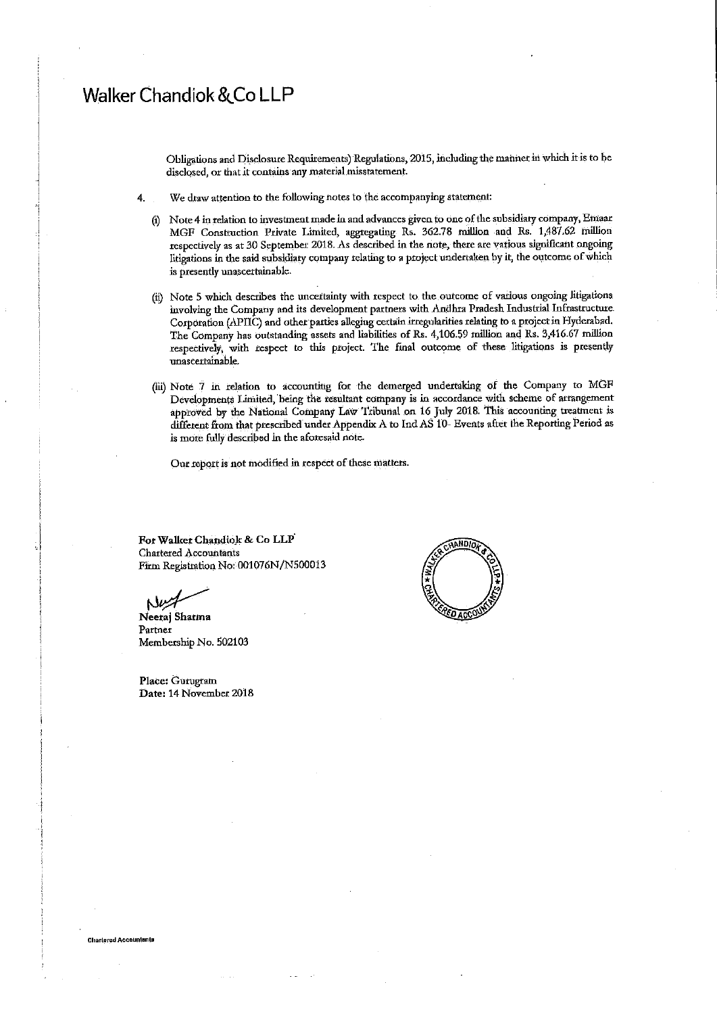# **Walker Chandiok & Co LLP**

Obligations and Disclosure Requirements) Regulations, 2015, including the manner in which it is to be disclosed, or that it contains any material misstatement.

- We draw attention to the following notes to the accompanying statement: 4.
	- (i) Note 4 in relation to investment made in and advances given to one of the subsidiary company, Emaar MGF Construction Private Limited, aggregating Rs. 362.78 million and Rs. 1,487.62 million respectively as at 30 September 2018. As described in the note, there are various significant ongoing litigations in the said subsidiary company relating to a project undertaken by it, the outcome of which is presently unascertainable.
	- (ii) Note 5 which describes the uncertainty with respect to the outcome of various ongoing litigations involving the Company and its development partners with Andhra Pradesh Industrial Infrastructure Corporation (APIIC) and other parties alleging certain irregularities relating to a project in Hyderabad. The Company has outstanding assets and liabilities of Rs. 4,106.59 million and Rs. 3,416.67 million respectively, with respect to this project. The final outcome of these litigations is presently unascertainable.
	- (iii) Note 7 in relation to accounting for the demerged undertaking of the Company to MGF Developments Limited, being the resultant company is in accordance with scheme of arrangement approved by the National Company Law Tribunal on 16 July 2018. This accounting treatment is different from that prescribed under Appendix A to Ind AS 10- Events after the Reporting Period as is more fully described in the aforesaid note.

Our report is not modified in respect of these matters.

For Walker Chandiok & Co LLP **Chartered Accountants** Firm Registration No: 001076N/N500013

Neeraj Sharma Partner Membership No. 502103

Place: Gurugram Date: 14 November 2018



**Chartered Accountents**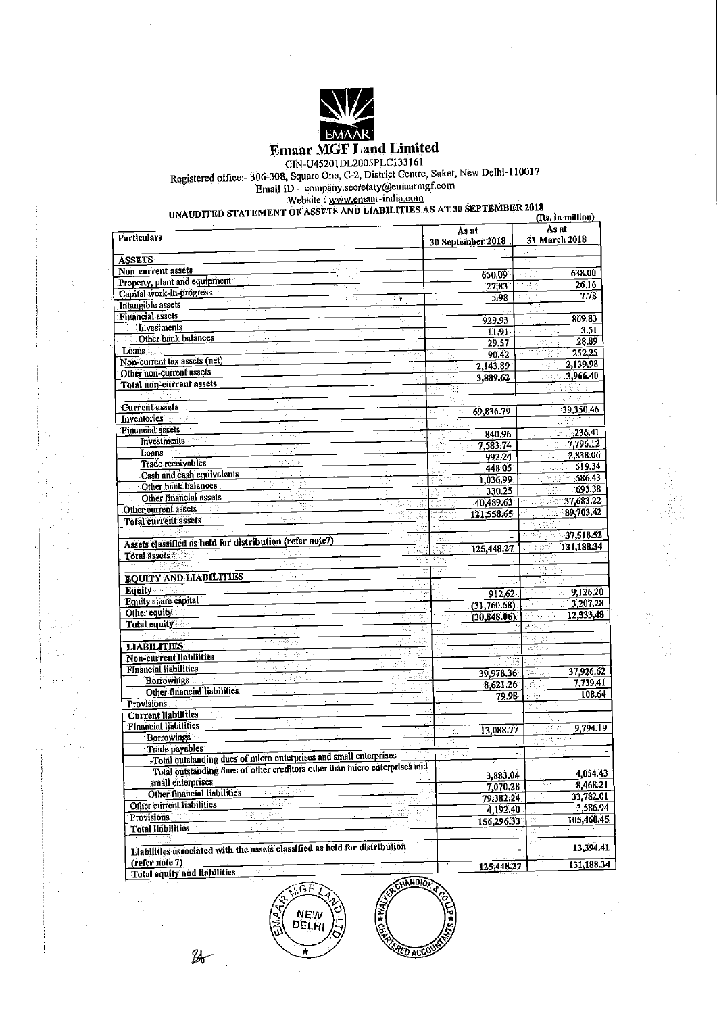

**Emaar MGF Land Limited** 

ET EXECUTE LAIRE LABOURDE<br>
CIN-U45201DL2005PLC133161<br>
Registered office:- 306-308, Square One, C-2, District Centre, Saket, New Delhi-110017<br>
Email ID – company.secretary@emaarmgf.com<br>
Website : www.emany-india.com<br>
UNAUDI

| <b>Particulars</b>                                                         |              | As at              | As at              |
|----------------------------------------------------------------------------|--------------|--------------------|--------------------|
|                                                                            |              | 30 September 2018  | 31 March 2018      |
| <b>ASSETS</b>                                                              |              |                    |                    |
| Non-current assets                                                         |              | 650.09             | 638.00             |
| na C<br>Property, plant and equipment                                      |              | 27,83              | 26.16<br>A)        |
| P - 30<br>Capital work-in-progress                                         |              | 5.98               | 7.78<br>y.<br>Alba |
| Intangible assets                                                          | J.           |                    |                    |
| <b>Financial assets</b>                                                    |              | 929.93             | 869.83             |
| Investments                                                                |              | 11,91              | 3.51               |
| Other bank balances                                                        |              | 29.57              | 28.89              |
| Loans                                                                      |              | 90.42              | 252.25             |
| Non-current lax assets (net)                                               |              |                    | 2,139.98           |
| Other non-current assets                                                   |              | 2,143.89           | 3,966.40           |
| Total non-current assets                                                   |              | 3,889.62           |                    |
|                                                                            |              |                    | 타고                 |
| <b>Current assets</b>                                                      |              |                    | 39,350.46          |
| Inventories <u></u>                                                        |              | 69,836.79<br>Ħ.    |                    |
| <b>Financial assets</b>                                                    |              |                    | 236.41             |
| <b>Investments</b>                                                         |              | 840.96             | 7,796.12           |
| Loans                                                                      |              | 7,583.74           | 2,838.06           |
| Trade receivables                                                          |              | 992.24             | 519,34             |
| CP.<br>Cash and cash equivalents                                           |              | 448.05             | 586.43             |
| Other bank balances                                                        |              | 1,036.99<br>없고다    | 693,38             |
| Other financial assets                                                     |              | 330.25             | 37,683.22          |
| Other current assets                                                       |              | 40,489.63          | 89,703.42          |
| 呼吸法のか<br><b>Total current assets</b>                                       | suite 46     | 121,558.65         |                    |
|                                                                            | Laff         |                    | 37.518.52          |
| Assets classified as held for distribution (refer note7)                   | IJ           |                    | 131,188,34         |
| Total assets                                                               | -Tái         | 125,448.27<br>māt. |                    |
|                                                                            |              |                    |                    |
| <b>EQUITY AND LIABILITIES</b>                                              |              |                    |                    |
| <b>Lquity</b>                                                              |              |                    |                    |
| Equity share capital                                                       |              | 912.62             | $-9,126.20$        |
| Other equity                                                               |              | (31,760.68)        | 3,207.28           |
| Total equity                                                               | 军动手          | (30.848.06)        | 12,333,48          |
|                                                                            |              |                    |                    |
| <b>LIABILITIES</b>                                                         |              |                    | tið gir            |
| Non-current liabilities                                                    | 들로           | y ye. 715          |                    |
| <b>Financial liabilities</b>                                               |              | SURGI              |                    |
| <b>Borrowings</b>                                                          |              | 39,978.36          | 37,926.62<br>14.U  |
| Other financial liabilities                                                |              | 8,621.26           | 7,739,41<br>31.J   |
| <b>Provisions</b>                                                          |              | 79.98              | 108.64             |
| Current liabilities                                                        |              |                    |                    |
| <b>Financial liabilities</b>                                               |              |                    |                    |
| <b>Borrowings</b>                                                          |              | 13,088.77          | 9,794.19<br>me     |
| Trade payables                                                             |              |                    |                    |
| -Total outstanding dues of micro enterprises and small enterprises         |              |                    |                    |
| Total outstanding dues of other creditors other than micro enterprises and |              |                    |                    |
| small enterprises                                                          |              | 3,883.04           | 4,054.43           |
| Other financial liabilities<br>iac                                         |              | 7,070,28           | 8,468.21           |
| . . 경화도<br>Other current liabilities                                       |              | 79,382.24          | 33,782.01<br>4     |
| $\epsilon_1$<br>10                                                         | 32 Septembri | 4,192.40           | 3,586.94           |
| <b>Provisions</b><br>aan din Jawa<br>Kabupatén<br>$\cdot$                  | м, 3.        | 156,296.33         | 105,460.45         |
| <b>Total liabilities</b><br>92 S                                           |              |                    |                    |
| Liabilities associated with the assets classified as held for distribution |              |                    | 13,394.41          |
|                                                                            |              |                    |                    |
| (refer note 7)<br>75<br><b>Total equity and liabilities</b>                | Æ,           | 125,448.27         | 131,188.34         |
|                                                                            | $\pi$        |                    |                    |

 $26$ 

**KOLOLANS** Ē **RED ACCO** 

GF

NEW<br>DELHI

y,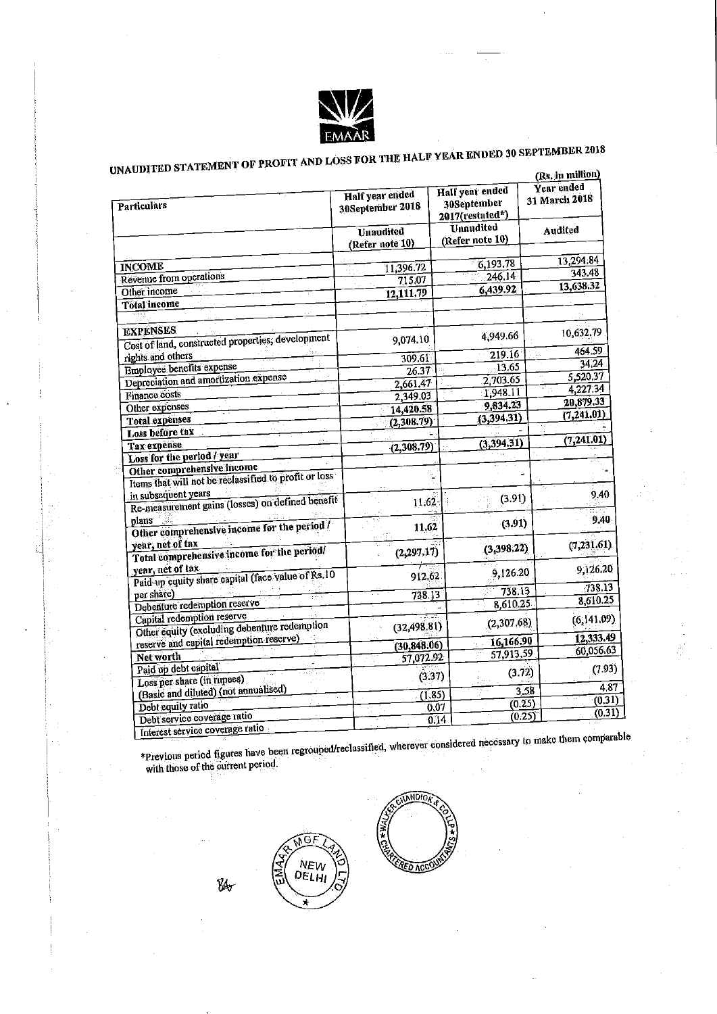

# UNAUDITED STATEMENT OF PROFIT AND LOSS FOR THE HALF YEAR ENDED 30 SEPTEMBER 2018

|                                                       |                                     |                                                   | (Rs. in muuon)              |  |
|-------------------------------------------------------|-------------------------------------|---------------------------------------------------|-----------------------------|--|
| Particulars                                           | Half year ended<br>30September 2018 | Half year ended<br>30September<br>2017(restated*) | Year ended<br>31 March 2018 |  |
|                                                       | Unaudited                           | Unaudited                                         | <b>Audited</b>              |  |
|                                                       | (Refer note 10)                     | (Refer note 10)                                   |                             |  |
|                                                       |                                     |                                                   | 13,294.84                   |  |
| <b>INCOME</b>                                         | 11,396.72                           | 6,193.78                                          | 343.48                      |  |
| Revenue from operations                               | 715.07                              | 246.14                                            | 13,638.32                   |  |
| Other income                                          | 12,111.79                           | $\sqrt{6}$ ,439.92                                |                             |  |
| Total income                                          |                                     |                                                   |                             |  |
|                                                       |                                     |                                                   |                             |  |
| <b>EXPENSES</b>                                       |                                     | 4,949.66                                          | 10,632.79                   |  |
| Cost of land, constructed properties, development     | 9,074.10                            |                                                   |                             |  |
| rights and others                                     | 309.61                              | 219.16                                            | 464.59                      |  |
| Employee benefits expense                             | 26.37                               | 13.65                                             | 34,24                       |  |
| Depreciation and amortization expense                 | 2,661.47                            | 2,703.65                                          | 5,520,37                    |  |
| <b>Finance costs</b>                                  | 2,349.03                            | 1,948.11                                          | 4,227,34                    |  |
| Other expenses                                        | 14,420.58                           | 9,834.23                                          | 20,879.33                   |  |
| Total expenses                                        | (2, 308.79)                         | (3, 394.31)                                       | (7, 241.01)                 |  |
| Loss before tax                                       |                                     |                                                   |                             |  |
| Tax expense                                           | (2,308.79)                          | (3,394.31)                                        | (7, 241.01)                 |  |
| Loss for the period / year                            |                                     |                                                   |                             |  |
| Other comprehensive income                            |                                     |                                                   |                             |  |
| Items that will not be reclassified to profit or loss |                                     |                                                   |                             |  |
| in subsequent years                                   |                                     | (3.91)                                            | 9.40                        |  |
| Re-measurement gains (losses) on defined benefit      | 11.62                               |                                                   |                             |  |
| plans                                                 |                                     | (3.91)                                            | 9.40                        |  |
| Other comprehensive income for the period /           | 11.62                               |                                                   |                             |  |
| year, net of tax                                      |                                     | (3,398.22)                                        | (7, 231.61)                 |  |
| Total comprehensive income for the period/            | (2, 297.17)                         |                                                   |                             |  |
| year, net of tax                                      |                                     | 9,126.20                                          | 9,126.20                    |  |
| Paid-up equity share capital (face value of Rs.10     | 912.62                              |                                                   |                             |  |
| per share)                                            | 738.13                              | 738.13                                            | 738.13                      |  |
| Debenture redemption reserve                          |                                     | 8,610.25                                          | 8,610.25                    |  |
| Capital redemption reserve                            |                                     | (2,307.68)                                        | (6, 141.09)                 |  |
| Other equity (excluding debenture redemption          | (32,498.81)                         |                                                   |                             |  |
| reserve and capital redemption reserve)               | (30, 848.06)                        | 16,166.90                                         | 12,333.49                   |  |
| Net worth                                             | 57,072.92                           | 57,913.59                                         | 60,056.63                   |  |
| Paid up debt capital                                  |                                     | (3.72)                                            | (7.93)                      |  |
| Loss per share (in rupees)                            |                                     | (3.37)                                            |                             |  |
| (Basic and diluted) (not annualised)                  |                                     | (1, 85)                                           | 4.87<br>3.58                |  |
| Debt equity ratio                                     |                                     | (0.25)<br>0.07                                    | (0, 31)                     |  |
| Debt service coverage ratio                           |                                     | (0.25)<br>0.14                                    | (0.31)                      |  |
| Interest service coverage ratio                       |                                     |                                                   | se des tham comparable      |  |

\*Previous period figures have been regrouped/reclassified, wherever considered necessary to make them comparable<br>with those of the current period.

 $\mathcal{U}_\sigma$ 

GI

NEW<br>DELHI

 $\sqrt{\frac{2}{4}}$ 

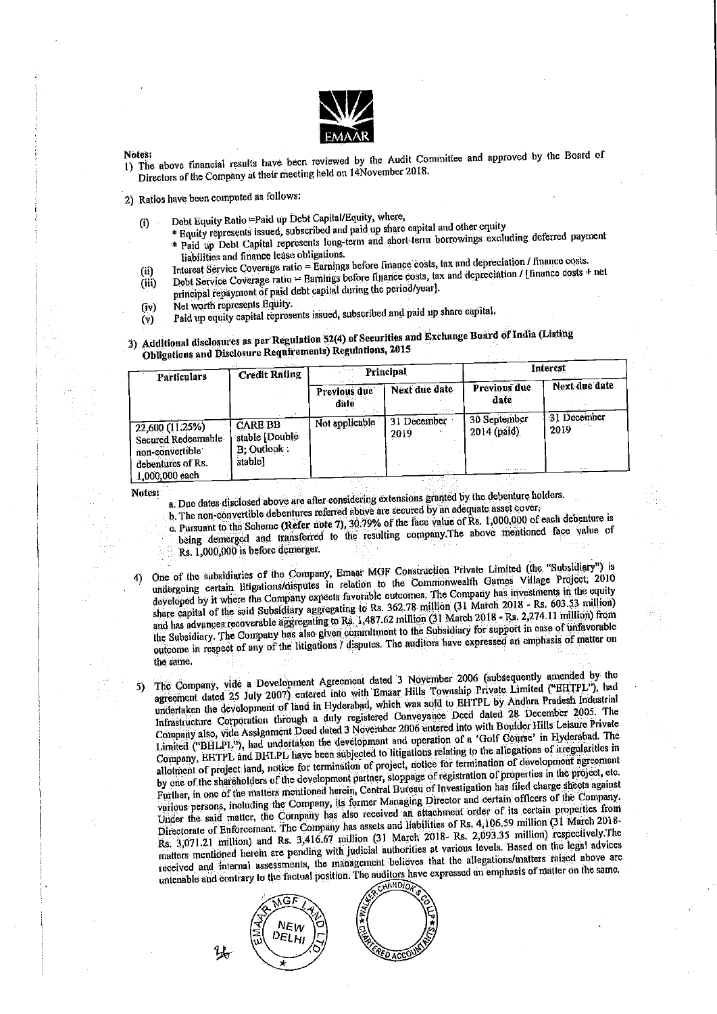

#### Notes:

1) The above financial results have been reviewed by the Audit Committee and approved by the Board of Directors of the Company at their meeting held on 14November 2018.

2) Ratios have been computed as follows:

- Debt Equity Ratio = Paid up Debt Capital/Equity, where,  $\overline{0}$ 
	- \* Equity represents issued, subscribed and paid up share capital and other equity
	- \* Paid up Debt Capital represents long-term and short-term borrowings excluding deferred payment liabilities and finance lease obligations.
- Interest Service Coverage ratio = Earnings before finance costs, tax and depreciation / finance costs. (ii)
- Debt Service Coverage ratio = Barnings before finance costs, tax and depreciation / [finance costs + net (iii)
- principal repayment of paid debt capital during the period/year].
- Net worth represents Equity.  $(iv)$
- Paid up equity capital represents issued, subscribed and paid up share capital.  $(v)$

# 3) Additional disclosures as per Regulation 52(4) of Securities and Exchange Board of India (Listing Obligations and Disclosure Requirements) Regulations, 2015

| Previous due<br>Next due date<br>Previous due<br>date<br>date<br>30 September<br>31 December<br>Not applicable<br><b>CARE BB</b><br>2019<br>$2014$ (paid)<br>2019<br>stable [Double<br>B; Outlook:<br>non-convertible | Particulars                                                  | <b>Credit Rating</b> | Principal<br>in pr |  | Interest |               |
|-----------------------------------------------------------------------------------------------------------------------------------------------------------------------------------------------------------------------|--------------------------------------------------------------|----------------------|--------------------|--|----------|---------------|
|                                                                                                                                                                                                                       |                                                              |                      |                    |  |          | Next due date |
| $\langle\sigma\sigma\rangle_{\rm{L}}$ , and out as<br>$\sim$ $\sim$ $ \sim$                                                                                                                                           | $22,600(11.25\%)$<br>Secured Redeemable<br>debentures of Rs. | stablel              |                    |  |          | 31 December   |

Notes:

a. Due dates disclosed above are after considering extensions granted by the debenture holders.

b. The non-convertible debentures referred above are secured by an adequate asset cover,

- c. Pursuant to the Scheme (Refer note 7), 30.79% of the face value of Rs. 1,000,000 of each debenture is being demerged and transferred to the resulting company. The above mentioned face value of
- Rs. 1,000,000 is before demerger.
- One of the subsidiaries of the Company, Emaar MGF Construction Private Limited (the "Subsidiary") is undergoing certain litigations/disputes in relation to the Commonwealth Games Village Project, 2010 developed by it where the Company expects favorable outcomes. The Company has investments in the equity share capital of the said Subsidiary aggregating to Rs. 362.78 million (31 March 2018 - Rs. 603.53 million) and has advances recoverable aggregating to Rs. 1,487.62 million (31 March 2018 - Rs. 2,274.11 million) from the Subsidiary. The Company has also given commitment to the Subsidiary for support in case of unfavorable outcome in respect of any of the litigations / disputes. The auditors have expressed an emphasis of matter on the same.
- The Company, vide a Development Agreement dated 3 November 2006 (subsequently amended by the agreement dated 25 July 2007) entered into with Emaar Hills Township Private Limited ("EHTPL"), had 5) undertaken the development of land in Hyderabad, which was sold to EHTPL by Andhra Pradesh Industrial Infrastructure Corporation through a duly registered Conveyance Deed dated 28 December 2005. The Company also, vide Assignment Deed dated 3 November 2006 entered into with Boulder Hills Leisure Private Limited ("BHLPL"), had undertaken the development and operation of a 'Golf Course' in Hyderabad. The Company, EHTPL and BHLPL have been subjected to litigations relating to the allegations of irregularities in allotment of project land, notice for termination of project, notice for termination of development agreement by one of the shareholders of the development partner, stoppage of registration of properties in the project, etc. Further, in one of the matters mentioned herein, Central Bureau of Investigation has filed charge sheets against various persons, including the Company, its former Managing Director and certain officers of the Company. Under the said matter, the Company has also received an attachment order of its certain properties from Directorate of Enforcement. The Company has assets and liabilities of Rs. 4,106.59 million (31 March 2018-Rs. 3,071.21 million) and Rs. 3,416.67 million (31 March 2018- Rs. 2,093.35 million) respectively. The matters mentioned herein are pending with judicial authorities at various levels. Based on the legal advices received and internal assessments, the management believes that the allegations/matters raised above are untenable and contrary to the factual position. The auditors have expressed an emphasis of matter on the same,

*<u><b>CNAMDIO</u>* ۱G۸ **NEW** DELHI  $\mathcal{H}$ **REDACCO**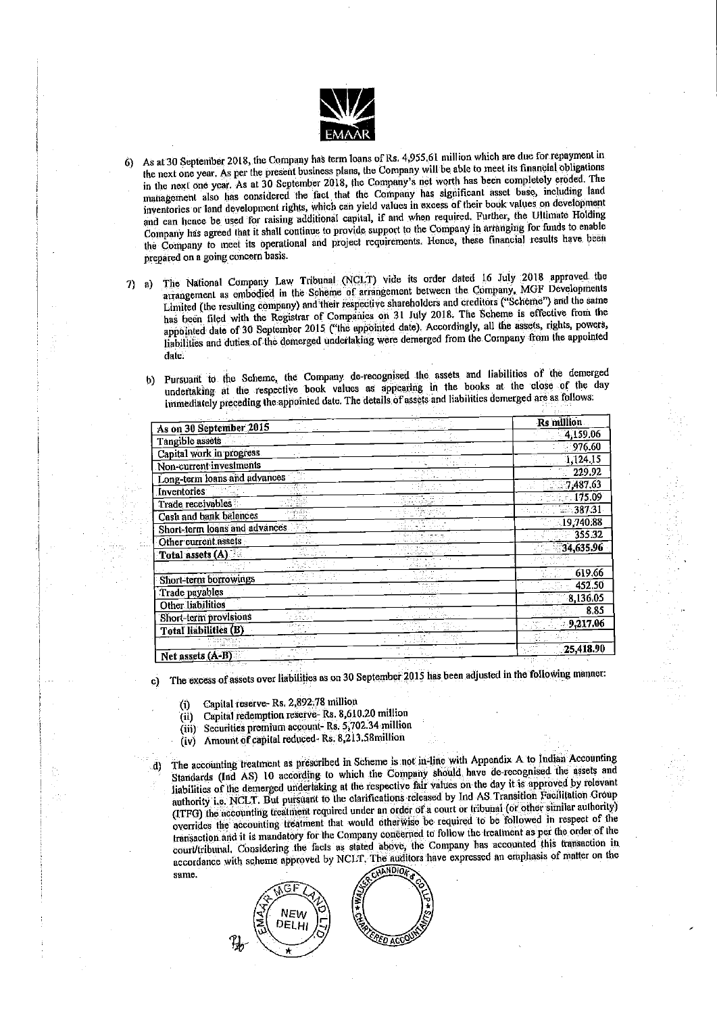

- As at 30 September 2018, the Company has term loans of Rs. 4,955.61 million which are due for repayment in 6) the next one year. As per the present business plans, the Company will be able to meet its financial obligations in the next one year. As at 30 September 2018, the Company's net worth has been completely croded. The management also has considered the fact that the Company has significant asset base, including land inventories or land development rights, which can yield values in excess of their book values on development and can hence be used for raising additional capital, if and when required. Further, the Ultimate Holding Company has agreed that it shall continue to provide support to the Company in arranging for funds to enable the Company to meet its operational and project requirements. Hence, these financial results have been prepared on a going concern basis.
- The National Company Law Tribunal (NCLT) vide its order dated 16 July 2018 approved the  $\mathcal{D}$ a) arrangement as embodied in the Scheme of arrangement between the Company, MGF Developments Limited (the resulting company) and their respective shareholders and creditors ("Scheme") and the same has been filed with the Registrar of Companies on 31 July 2018. The Scheme is effective from the appointed date of 30 September 2015 ("the appointed date). Accordingly, all the assets, rights, powers, liabilities and duties of the demerged undertaking were demerged from the Company from the appointed date.
	- Pursuant to the Scheme, the Company de-recognised the assets and liabilities of the demerged b) undertaking at the respective book values as appearing in the books at the close of the day immediately preceding the appointed date. The details of assets and liabilities demerged are as follows:

|                               |  | Rs million |
|-------------------------------|--|------------|
| As on 30 September 2015       |  | 4,159.06   |
| Tangible assets               |  | 976.60     |
| Capital work in progress      |  | 1,124.15   |
| Non-current investments       |  | 229.92     |
| Long-term loans and advances  |  | 7,487,63   |
| Inventories.                  |  |            |
| Trade receivables             |  | 175.09     |
| Cash and bank balances        |  | $-387.31$  |
| Short-term loans and advances |  | 19,740.88  |
| Other current assets          |  | 355.32     |
| Total assets (A)              |  | 34,635.96  |
|                               |  |            |
|                               |  | 619.66     |
| Short-term borrowings         |  | 452,50     |
| Trade payables                |  | 8,136.05   |
| Other liabilities             |  | 8.85       |
| Short-term provisions         |  | 9,217.06   |
| <b>Total liabilities (B)</b>  |  |            |
|                               |  |            |
| Not accets (A.R)              |  | 25,418.90  |

The excess of assets over liabilities as on 30 September 2015 has been adjusted in the following manner: C)

Capital reserve-Rs. 2,892.78 million  $\left( i\right)$ 

- Capital redemption reserve-Rs. 8,610.20 million  $(ii)$
- (iii) Securities premium account-Rs. 5,702.34 million
- Amount of capital reduced Rs. 8,213.58million (iv)
- The accounting treatment as prescribed in Scheme is not in-line with Appendix A to Indian Accounting A) Standards (Ind AS) 10 according to which the Company should have de-recognised the assets and liabilities of the demerged undertaking at the respective fair values on the day it is approved by relevant authority i.e. NCLT. But pursuant to the clarifications released by Ind AS Transition Facilitation Group (ITFG) the accounting treatment required under an order of a court or tribunal (or other similar authority) overrides the accounting treatment that would otherwise be required to be followed in respect of the transaction and it is mandatory for the Company concerned to follow the treatment as per the order of the court/tribunal. Considering the facts as stated above, the Company has accounted this transaction in accordance with scheme approved by NCLT. The auditors have expressed an emphasis of matter on the **ANDIOR** same.

**NEW** DELHI <u> <sup>পূ</sup>তি নত</u>9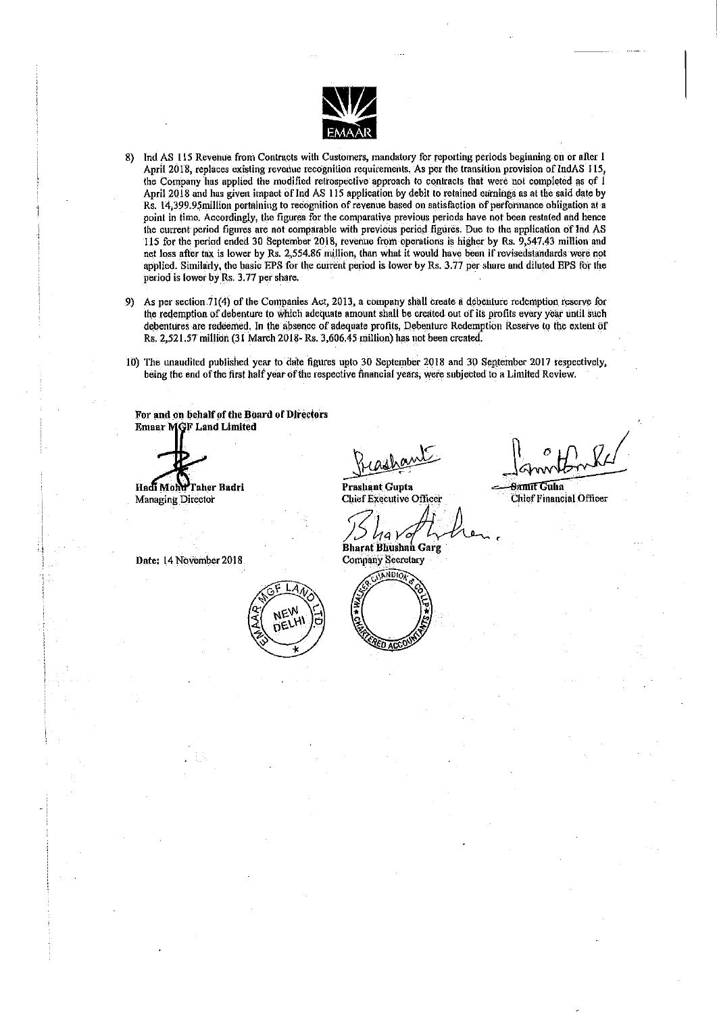

- 8) Ind AS 115 Revenue from Contracts with Customers, mandatory for reporting periods beginning on or after 1 April 2018, replaces existing revenue recognition requirements. As per the transition provision of IndAS 115, the Company has applied the modified retrospective approach to contracts that were not completed as of 1 April 2018 and has given impact of Ind AS 115 application by debit to retained earnings as at the said date by Rs. 14,399.95 million pertaining to recognition of revenue based on satisfaction of performance obligation at a point in time. Accordingly, the figures for the comparative previous periods have not been restated and hence the current period figures are not comparable with previous period figures. Due to the application of Ind AS 115 for the period ended 30 September 2018, revenue from operations is higher by Rs. 9,547.43 million and net loss after tax is lower by Rs. 2,554.86 million, than what it would have been if revisedstandards were not applied. Similarly, the basic EPS for the current period is lower by Rs. 3.77 per share and diluted EPS for the period is lower by Rs. 3.77 per share.
- 9) As per section 71(4) of the Companies Act, 2013, a company shall create a debenture redemption reserve for the redemption of debenture to which adequate amount shall be created out of its profits every year until such debentures are redeemed. In the absence of adequate profits, Debenture Redemption Reserve to the extent of Rs. 2,521.57 million (31 March 2018- Rs. 3,606.45 million) has not been created.
- 10) The unaudited published year to date figures upto 30 September 2018 and 30 September 2017 respectively, being the end of the first half year of the respective financial years, were subjected to a Limited Review.

For and on behalf of the Board of Directors **Emaar MGF Land Limited** 

Hadi Mohd Taher Badri Managing Director

Lia v ΄0 **Bharat Bhushan Garg** 

**Prashant Gupta Chief Executive Officer** 

Samit Guha **Chief Financial Officer** 

Date: 14 November 2018